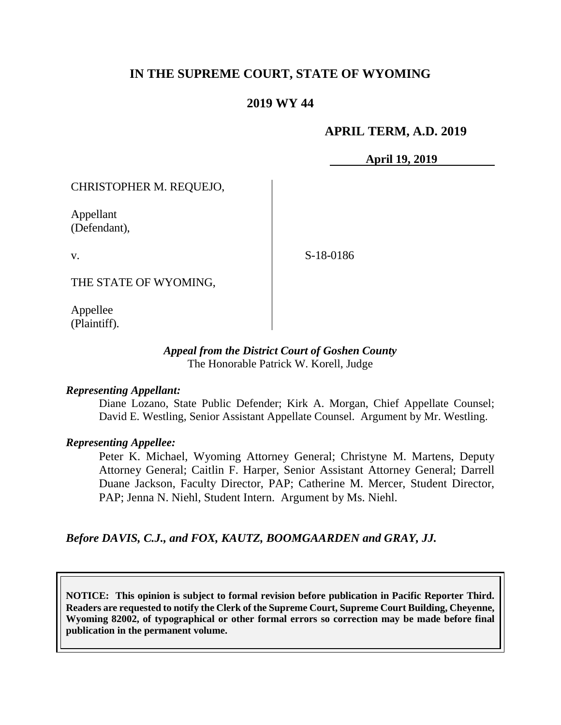# **IN THE SUPREME COURT, STATE OF WYOMING**

## **2019 WY 44**

#### **APRIL TERM, A.D. 2019**

**April 19, 2019**

CHRISTOPHER M. REQUEJO,

Appellant (Defendant),

v.

S-18-0186

THE STATE OF WYOMING,

Appellee (Plaintiff).

#### *Appeal from the District Court of Goshen County* The Honorable Patrick W. Korell, Judge

#### *Representing Appellant:*

Diane Lozano, State Public Defender; Kirk A. Morgan, Chief Appellate Counsel; David E. Westling, Senior Assistant Appellate Counsel. Argument by Mr. Westling.

#### *Representing Appellee:*

Peter K. Michael, Wyoming Attorney General; Christyne M. Martens, Deputy Attorney General; Caitlin F. Harper, Senior Assistant Attorney General; Darrell Duane Jackson, Faculty Director, PAP; Catherine M. Mercer, Student Director, PAP; Jenna N. Niehl, Student Intern. Argument by Ms. Niehl.

*Before DAVIS, C.J., and FOX, KAUTZ, BOOMGAARDEN and GRAY, JJ.*

**NOTICE: This opinion is subject to formal revision before publication in Pacific Reporter Third. Readers are requested to notify the Clerk of the Supreme Court, Supreme Court Building, Cheyenne, Wyoming 82002, of typographical or other formal errors so correction may be made before final publication in the permanent volume.**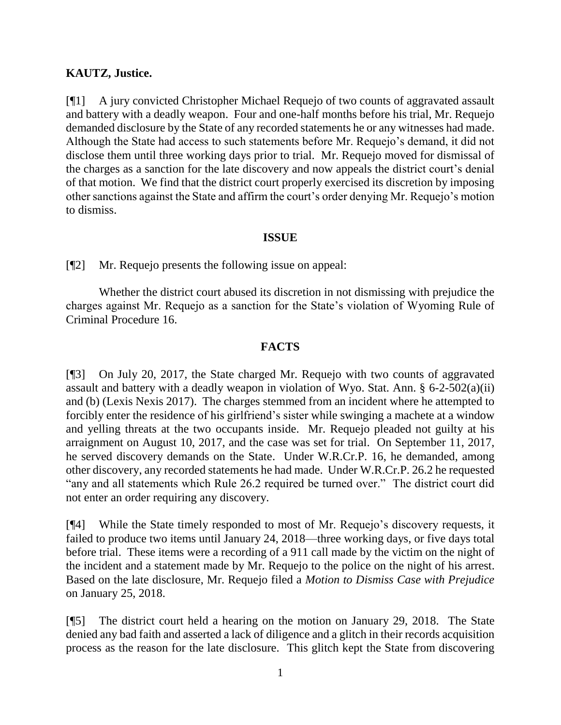### **KAUTZ, Justice.**

[¶1] A jury convicted Christopher Michael Requejo of two counts of aggravated assault and battery with a deadly weapon. Four and one-half months before his trial, Mr. Requejo demanded disclosure by the State of any recorded statements he or any witnesses had made. Although the State had access to such statements before Mr. Requejo's demand, it did not disclose them until three working days prior to trial. Mr. Requejo moved for dismissal of the charges as a sanction for the late discovery and now appeals the district court's denial of that motion. We find that the district court properly exercised its discretion by imposing other sanctions against the State and affirm the court's order denying Mr. Requejo's motion to dismiss.

### **ISSUE**

[¶2] Mr. Requejo presents the following issue on appeal:

Whether the district court abused its discretion in not dismissing with prejudice the charges against Mr. Requejo as a sanction for the State's violation of Wyoming Rule of Criminal Procedure 16.

## **FACTS**

[¶3] On July 20, 2017, the State charged Mr. Requejo with two counts of aggravated assault and battery with a deadly weapon in violation of Wyo. Stat. Ann. § 6-2-502(a)(ii) and (b) (Lexis Nexis 2017). The charges stemmed from an incident where he attempted to forcibly enter the residence of his girlfriend's sister while swinging a machete at a window and yelling threats at the two occupants inside. Mr. Requejo pleaded not guilty at his arraignment on August 10, 2017, and the case was set for trial. On September 11, 2017, he served discovery demands on the State. Under W.R.Cr.P. 16, he demanded, among other discovery, any recorded statements he had made. Under W.R.Cr.P. 26.2 he requested "any and all statements which Rule 26.2 required be turned over." The district court did not enter an order requiring any discovery.

[¶4] While the State timely responded to most of Mr. Requejo's discovery requests, it failed to produce two items until January 24, 2018—three working days, or five days total before trial. These items were a recording of a 911 call made by the victim on the night of the incident and a statement made by Mr. Requejo to the police on the night of his arrest. Based on the late disclosure, Mr. Requejo filed a *Motion to Dismiss Case with Prejudice* on January 25, 2018.

[¶5] The district court held a hearing on the motion on January 29, 2018. The State denied any bad faith and asserted a lack of diligence and a glitch in their records acquisition process as the reason for the late disclosure. This glitch kept the State from discovering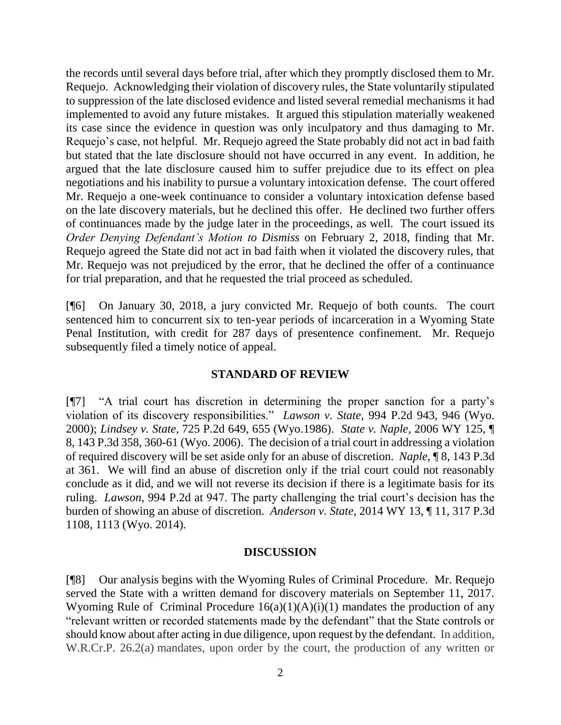the records until several days before trial, after which they promptly disclosed them to Mr. Requejo. Acknowledging their violation of discovery rules, the State voluntarily stipulated to suppression of the late disclosed evidence and listed several remedial mechanisms it had implemented to avoid any future mistakes. It argued this stipulation materially weakened its case since the evidence in question was only inculpatory and thus damaging to Mr. Requejo's case, not helpful. Mr. Requejo agreed the State probably did not act in bad faith but stated that the late disclosure should not have occurred in any event. In addition, he argued that the late disclosure caused him to suffer prejudice due to its effect on plea negotiations and his inability to pursue a voluntary intoxication defense. The court offered Mr. Requejo a one-week continuance to consider a voluntary intoxication defense based on the late discovery materials, but he declined this offer. He declined two further offers of continuances made by the judge later in the proceedings, as well. The court issued its *Order Denying Defendant's Motion to Dismiss* on February 2, 2018, finding that Mr. Requejo agreed the State did not act in bad faith when it violated the discovery rules, that Mr. Requejo was not prejudiced by the error, that he declined the offer of a continuance for trial preparation, and that he requested the trial proceed as scheduled.

[¶6] On January 30, 2018, a jury convicted Mr. Requejo of both counts. The court sentenced him to concurrent six to ten-year periods of incarceration in a Wyoming State Penal Institution, with credit for 287 days of presentence confinement. Mr. Requejo subsequently filed a timely notice of appeal.

#### **STANDARD OF REVIEW**

[¶7] "A trial court has discretion in determining the proper sanction for a party's violation of its discovery responsibilities." *Lawson v. State,* 994 P.2d 943, 946 (Wyo. 2000); *Lindsey v. State,* 725 P.2d 649, 655 (Wyo.1986). *State v. Naple*, 2006 WY 125, ¶ 8, 143 P.3d 358, 360-61 (Wyo. 2006). The decision of a trial court in addressing a violation of required discovery will be set aside only for an abuse of discretion. *Naple,* ¶ 8, 143 P.3d at 361. We will find an abuse of discretion only if the trial court could not reasonably conclude as it did, and we will not reverse its decision if there is a legitimate basis for its ruling. *Lawson*, 994 P.2d at 947. The party challenging the trial court's decision has the burden of showing an abuse of discretion. *Anderson v. State*, 2014 WY 13, ¶ 11, 317 P.3d 1108, 1113 (Wyo. 2014).

#### **DISCUSSION**

[¶8] Our analysis begins with the Wyoming Rules of Criminal Procedure. Mr. Requejo served the State with a written demand for discovery materials on September 11, 2017. Wyoming Rule of Criminal Procedure  $16(a)(1)(A)(i)(1)$  mandates the production of any "relevant written or recorded statements made by the defendant" that the State controls or should know about after acting in due diligence, upon request by the defendant. In addition, W.R.Cr.P. 26.2(a) mandates, upon order by the court, the production of any written or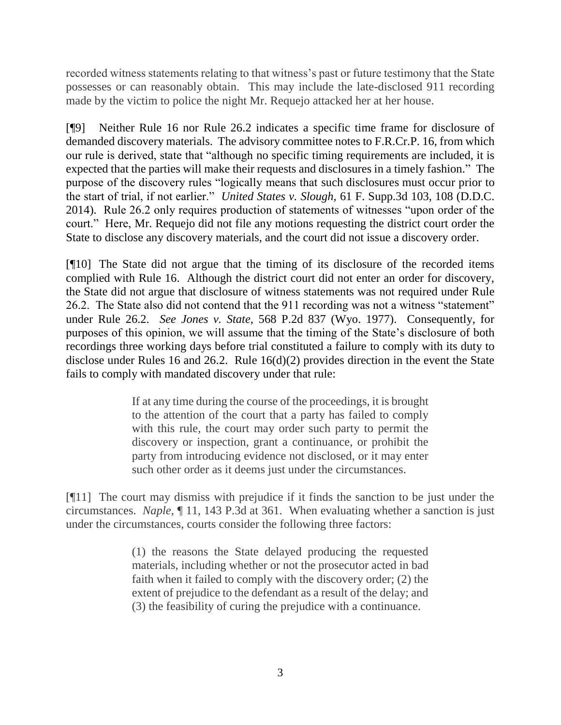recorded witness statements relating to that witness's past or future testimony that the State possesses or can reasonably obtain. This may include the late-disclosed 911 recording made by the victim to police the night Mr. Requejo attacked her at her house.

[¶9] Neither Rule 16 nor Rule 26.2 indicates a specific time frame for disclosure of demanded discovery materials. The advisory committee notes to F.R.Cr.P. 16, from which our rule is derived, state that "although no specific timing requirements are included, it is expected that the parties will make their requests and disclosures in a timely fashion." The purpose of the discovery rules "logically means that such disclosures must occur prior to the start of trial, if not earlier." *United States v. Slough,* 61 F. Supp.3d 103, 108 (D.D.C. 2014). Rule 26.2 only requires production of statements of witnesses "upon order of the court." Here, Mr. Requejo did not file any motions requesting the district court order the State to disclose any discovery materials, and the court did not issue a discovery order.

[¶10] The State did not argue that the timing of its disclosure of the recorded items complied with Rule 16. Although the district court did not enter an order for discovery, the State did not argue that disclosure of witness statements was not required under Rule 26.2. The State also did not contend that the 911 recording was not a witness "statement" under Rule 26.2. *See Jones v. State,* 568 P.2d 837 (Wyo. 1977). Consequently, for purposes of this opinion, we will assume that the timing of the State's disclosure of both recordings three working days before trial constituted a failure to comply with its duty to disclose under Rules 16 and 26.2. Rule 16(d)(2) provides direction in the event the State fails to comply with mandated discovery under that rule:

> If at any time during the course of the proceedings, it is brought to the attention of the court that a party has failed to comply with this rule, the court may order such party to permit the discovery or inspection, grant a continuance, or prohibit the party from introducing evidence not disclosed, or it may enter such other order as it deems just under the circumstances.

[¶11] The court may dismiss with prejudice if it finds the sanction to be just under the circumstances. *Naple*, ¶ 11, 143 P.3d at 361. When evaluating whether a sanction is just under the circumstances, courts consider the following three factors:

> (1) the reasons the State delayed producing the requested materials, including whether or not the prosecutor acted in bad faith when it failed to comply with the discovery order; (2) the extent of prejudice to the defendant as a result of the delay; and (3) the feasibility of curing the prejudice with a continuance.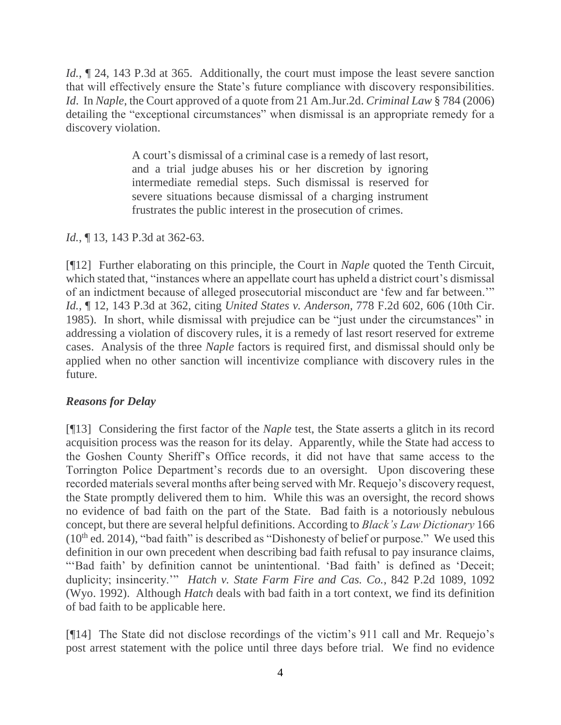*Id.*,  $\sim$  24, 143 P.3d at 365. Additionally, the court must impose the least severe sanction that will effectively ensure the State's future compliance with discovery responsibilities. *Id*. In *Naple*, the Court approved of a quote from 21 Am.Jur.2d. *Criminal Law* § 784 (2006) detailing the "exceptional circumstances" when dismissal is an appropriate remedy for a discovery violation.

> A court's dismissal of a criminal case is a remedy of last resort, and a trial judge abuses his or her discretion by ignoring intermediate remedial steps. Such dismissal is reserved for severe situations because dismissal of a charging instrument frustrates the public interest in the prosecution of crimes.

## *Id.*, **[13, 143 P.3d at 362-63.**

[¶12] Further elaborating on this principle, the Court in *Naple* quoted the Tenth Circuit, which stated that, "instances where an appellate court has upheld a district court's dismissal of an indictment because of alleged prosecutorial misconduct are 'few and far between.'" *Id.,* ¶ 12, 143 P.3d at 362, citing *United States v. Anderson,* 778 F.2d 602, 606 (10th Cir. 1985). In short, while dismissal with prejudice can be "just under the circumstances" in addressing a violation of discovery rules, it is a remedy of last resort reserved for extreme cases. Analysis of the three *Naple* factors is required first, and dismissal should only be applied when no other sanction will incentivize compliance with discovery rules in the future.

## *Reasons for Delay*

[¶13] Considering the first factor of the *Naple* test, the State asserts a glitch in its record acquisition process was the reason for its delay. Apparently, while the State had access to the Goshen County Sheriff's Office records, it did not have that same access to the Torrington Police Department's records due to an oversight. Upon discovering these recorded materials several months after being served with Mr. Requejo's discovery request, the State promptly delivered them to him. While this was an oversight, the record shows no evidence of bad faith on the part of the State. Bad faith is a notoriously nebulous concept, but there are several helpful definitions. According to *Black's Law Dictionary* 166  $(10<sup>th</sup>$  ed. 2014), "bad faith" is described as "Dishonesty of belief or purpose." We used this definition in our own precedent when describing bad faith refusal to pay insurance claims, "'Bad faith' by definition cannot be unintentional. 'Bad faith' is defined as 'Deceit; duplicity; insincerity.'" *Hatch v. State Farm Fire and Cas. Co.*, 842 P.2d 1089, 1092 (Wyo. 1992). Although *Hatch* deals with bad faith in a tort context, we find its definition of bad faith to be applicable here.

[¶14] The State did not disclose recordings of the victim's 911 call and Mr. Requejo's post arrest statement with the police until three days before trial. We find no evidence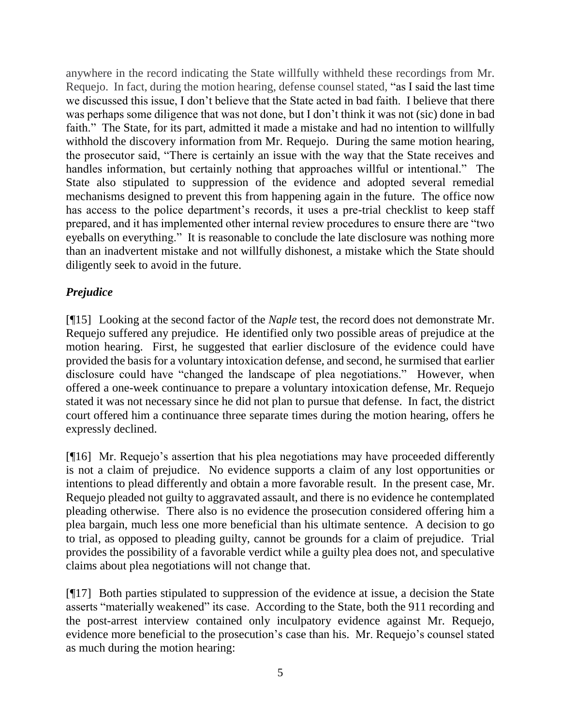anywhere in the record indicating the State willfully withheld these recordings from Mr. Requejo. In fact, during the motion hearing, defense counsel stated, "as I said the last time we discussed this issue, I don't believe that the State acted in bad faith. I believe that there was perhaps some diligence that was not done, but I don't think it was not (sic) done in bad faith." The State, for its part, admitted it made a mistake and had no intention to willfully withhold the discovery information from Mr. Requejo. During the same motion hearing, the prosecutor said, "There is certainly an issue with the way that the State receives and handles information, but certainly nothing that approaches willful or intentional." The State also stipulated to suppression of the evidence and adopted several remedial mechanisms designed to prevent this from happening again in the future. The office now has access to the police department's records, it uses a pre-trial checklist to keep staff prepared, and it has implemented other internal review procedures to ensure there are "two eyeballs on everything." It is reasonable to conclude the late disclosure was nothing more than an inadvertent mistake and not willfully dishonest, a mistake which the State should diligently seek to avoid in the future.

# *Prejudice*

[¶15] Looking at the second factor of the *Naple* test, the record does not demonstrate Mr. Requejo suffered any prejudice. He identified only two possible areas of prejudice at the motion hearing. First, he suggested that earlier disclosure of the evidence could have provided the basis for a voluntary intoxication defense, and second, he surmised that earlier disclosure could have "changed the landscape of plea negotiations." However, when offered a one-week continuance to prepare a voluntary intoxication defense, Mr. Requejo stated it was not necessary since he did not plan to pursue that defense. In fact, the district court offered him a continuance three separate times during the motion hearing, offers he expressly declined.

[¶16] Mr. Requejo's assertion that his plea negotiations may have proceeded differently is not a claim of prejudice. No evidence supports a claim of any lost opportunities or intentions to plead differently and obtain a more favorable result. In the present case, Mr. Requejo pleaded not guilty to aggravated assault, and there is no evidence he contemplated pleading otherwise. There also is no evidence the prosecution considered offering him a plea bargain, much less one more beneficial than his ultimate sentence. A decision to go to trial, as opposed to pleading guilty, cannot be grounds for a claim of prejudice. Trial provides the possibility of a favorable verdict while a guilty plea does not, and speculative claims about plea negotiations will not change that.

[¶17] Both parties stipulated to suppression of the evidence at issue, a decision the State asserts "materially weakened" its case. According to the State, both the 911 recording and the post-arrest interview contained only inculpatory evidence against Mr. Requejo, evidence more beneficial to the prosecution's case than his. Mr. Requejo's counsel stated as much during the motion hearing: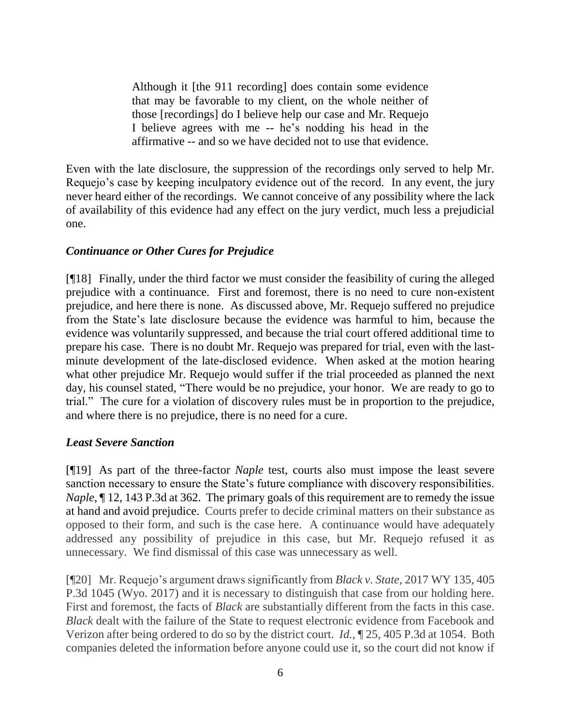Although it [the 911 recording] does contain some evidence that may be favorable to my client, on the whole neither of those [recordings] do I believe help our case and Mr. Requejo I believe agrees with me -- he's nodding his head in the affirmative -- and so we have decided not to use that evidence.

Even with the late disclosure, the suppression of the recordings only served to help Mr. Requejo's case by keeping inculpatory evidence out of the record. In any event, the jury never heard either of the recordings. We cannot conceive of any possibility where the lack of availability of this evidence had any effect on the jury verdict, much less a prejudicial one.

# *Continuance or Other Cures for Prejudice*

[¶18] Finally, under the third factor we must consider the feasibility of curing the alleged prejudice with a continuance. First and foremost, there is no need to cure non-existent prejudice, and here there is none. As discussed above, Mr. Requejo suffered no prejudice from the State's late disclosure because the evidence was harmful to him, because the evidence was voluntarily suppressed, and because the trial court offered additional time to prepare his case. There is no doubt Mr. Requejo was prepared for trial, even with the lastminute development of the late-disclosed evidence. When asked at the motion hearing what other prejudice Mr. Requejo would suffer if the trial proceeded as planned the next day, his counsel stated, "There would be no prejudice, your honor. We are ready to go to trial." The cure for a violation of discovery rules must be in proportion to the prejudice, and where there is no prejudice, there is no need for a cure.

## *Least Severe Sanction*

[¶19] As part of the three-factor *Naple* test, courts also must impose the least severe sanction necessary to ensure the State's future compliance with discovery responsibilities. *Naple*,  $\P$  12, 143 P.3d at 362. The primary goals of this requirement are to remedy the issue at hand and avoid prejudice. Courts prefer to decide criminal matters on their substance as opposed to their form, and such is the case here. A continuance would have adequately addressed any possibility of prejudice in this case, but Mr. Requejo refused it as unnecessary. We find dismissal of this case was unnecessary as well.

[¶20] Mr. Requejo's argument draws significantly from *Black v. State*, 2017 WY 135, 405 P.3d 1045 (Wyo. 2017) and it is necessary to distinguish that case from our holding here. First and foremost, the facts of *Black* are substantially different from the facts in this case. *Black* dealt with the failure of the State to request electronic evidence from Facebook and Verizon after being ordered to do so by the district court. *Id.,* ¶ 25, 405 P.3d at 1054. Both companies deleted the information before anyone could use it, so the court did not know if